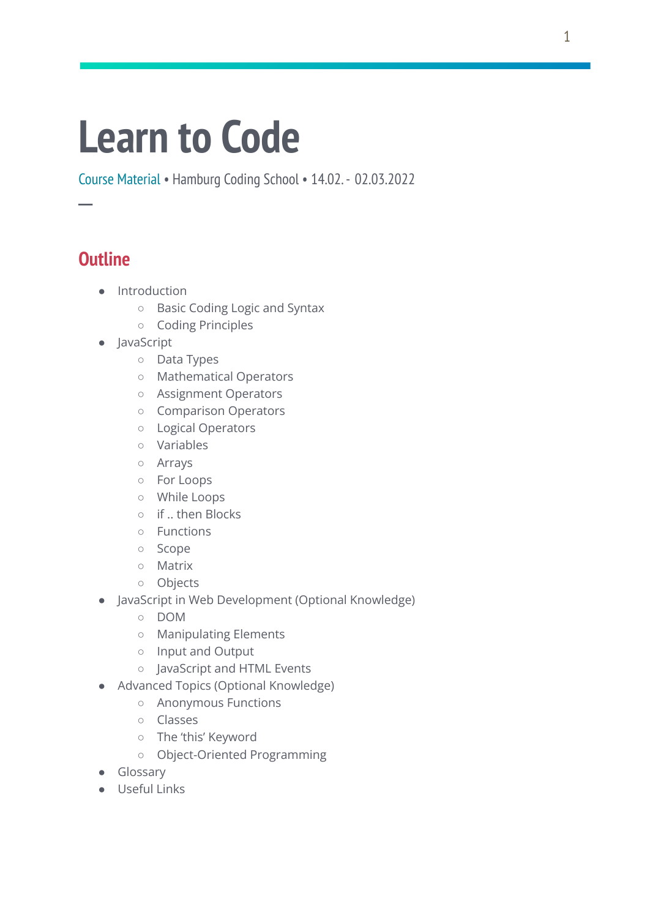# **Learn to Code**

Course Material • Hamburg Coding School • 14.02.- 02.03.2022

# **Outline**

**─**

- Introduction
	- Basic Coding Logic and Syntax
	- Coding Principles
- JavaScript
	- Data Types
	- Mathematical Operators
	- Assignment Operators
	- Comparison Operators
	- Logical Operators
	- Variables
	- Arrays
	- For Loops
	- While Loops
	- if .. then Blocks
	- Functions
	- Scope
	- Matrix
	- Objects
- JavaScript in Web Development (Optional Knowledge)
	- DOM
	- Manipulating Elements
	- Input and Output
	- JavaScript and HTML Events
- Advanced Topics (Optional Knowledge)
	- Anonymous Functions
	- Classes
	- The 'this' Keyword
	- Object-Oriented Programming
- Glossary
- Useful Links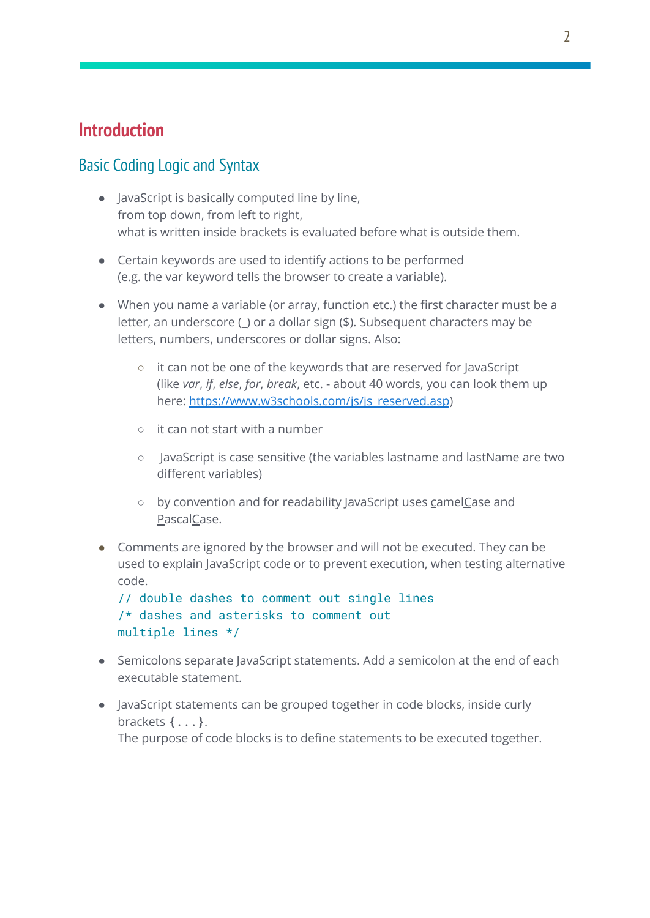# **Introduction**

## Basic Coding Logic and Syntax

- JavaScript is basically computed line by line, from top down, from left to right, what is written inside brackets is evaluated before what is outside them.
- Certain keywords are used to identify actions to be performed (e.g. the var keyword tells the browser to create a variable).
- When you name a variable (or array, function etc.) the first character must be a letter, an underscore (\_) or a dollar sign (\$). Subsequent characters may be letters, numbers, underscores or dollar signs. Also:
	- it can not be one of the keywords that are reserved for JavaScript (like *var*, *if*, *else*, *for*, *break*, etc. - about 40 words, you can look them up here: [https://www.w3schools.com/js/js\\_reserved.asp](https://www.w3schools.com/js/js_reserved.asp))
	- $\circ$  it can not start with a number
	- JavaScript is case sensitive (the variables lastname and lastName are two different variables)
	- by convention and for readability JavaScript uses camelCase and PascalCase.
- Comments are ignored by the browser and will not be executed. They can be used to explain JavaScript code or to prevent execution, when testing alternative code.

```
// double dashes to comment out single lines
/* dashes and asterisks to comment out
multiple lines */
```
- Semicolons separate JavaScript statements. Add a semicolon at the end of each executable statement.
- JavaScript statements can be grouped together in code blocks, inside curly brackets **{**...**}**. The purpose of code blocks is to define statements to be executed together.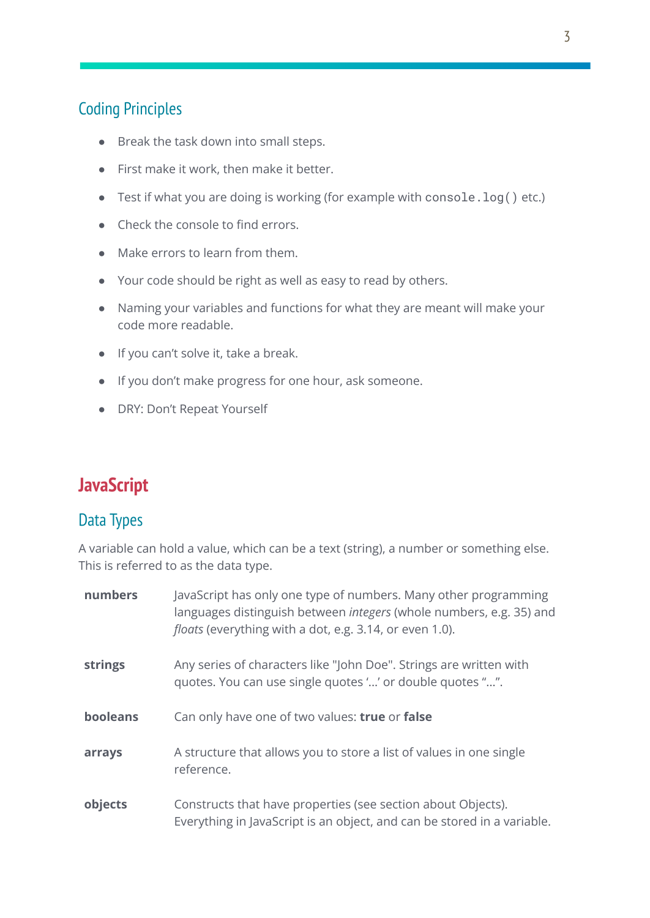# Coding Principles

- Break the task down into small steps.
- First make it work, then make it better.
- Test if what you are doing is working (for example with console.log() etc.)
- Check the console to find errors.
- Make errors to learn from them.
- Your code should be right as well as easy to read by others.
- Naming your variables and functions for what they are meant will make your code more readable.
- If you can't solve it, take a break.
- If you don't make progress for one hour, ask someone.
- DRY: Don't Repeat Yourself

# **JavaScript**

#### Data Types

A variable can hold a value, which can be a text (string), a number or something else. This is referred to as the data type.

| numbers  | JavaScript has only one type of numbers. Many other programming<br>languages distinguish between <i>integers</i> (whole numbers, e.g. 35) and<br><i>floats</i> (everything with a dot, e.g. 3.14, or even 1.0). |  |
|----------|-----------------------------------------------------------------------------------------------------------------------------------------------------------------------------------------------------------------|--|
| strings  | Any series of characters like "John Doe". Strings are written with<br>quotes. You can use single quotes '' or double quotes "".                                                                                 |  |
| booleans | Can only have one of two values: true or false                                                                                                                                                                  |  |
| arrays   | A structure that allows you to store a list of values in one single<br>reference.                                                                                                                               |  |
| objects  | Constructs that have properties (see section about Objects).<br>Everything in JavaScript is an object, and can be stored in a variable.                                                                         |  |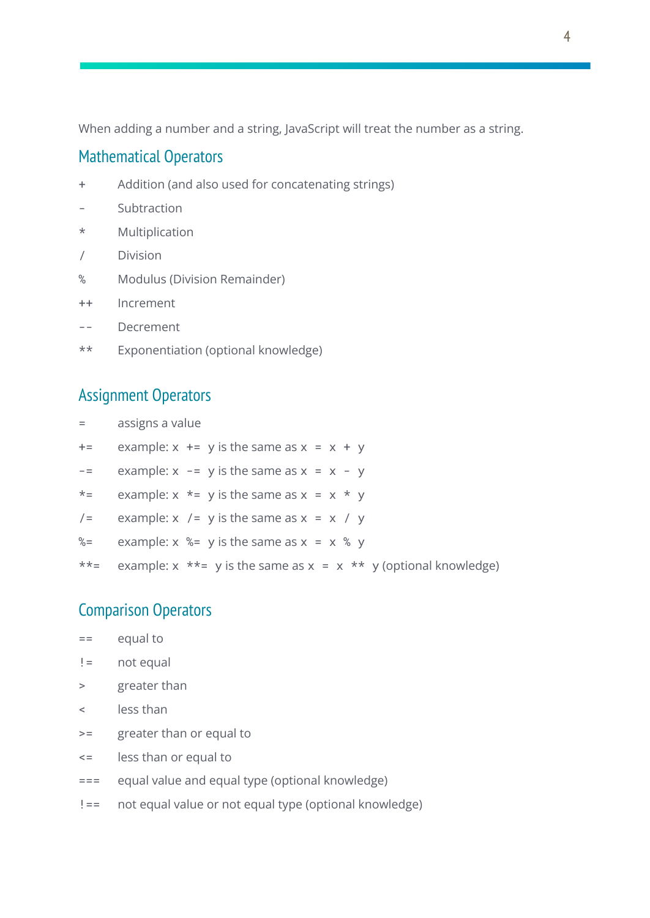When adding a number and a string, JavaScript will treat the number as a string.

#### Mathematical Operators

- + Addition (and also used for concatenating strings)
- Subtraction
- \* Multiplication
- / Division
- % Modulus (Division Remainder)
- ++ Increment
- -- Decrement
- \*\* Exponentiation (optional knowledge)

## Assignment Operators

- = assigns a value
- $+=$  example:  $x \leftarrow y$  is the same as  $x = x + y$
- $\epsilon$  -= example:  $x \epsilon$  y is the same as  $x = x y$
- \*= example:  $x * = y$  is the same as  $x = x * y$
- $/$ = example: x  $/$ = y is the same as x = x  $/$  y
- %= example:  $x$  %= y is the same as  $x = x$  % y
- \*\*= example:  $x * = y$  is the same as  $x = x * * y$  (optional knowledge)

## Comparison Operators

- $==$  equal to
- != not equal
- > greater than
- < less than
- >= greater than or equal to
- <= less than or equal to
- === equal value and equal type (optional knowledge)
- !== not equal value or not equal type (optional knowledge)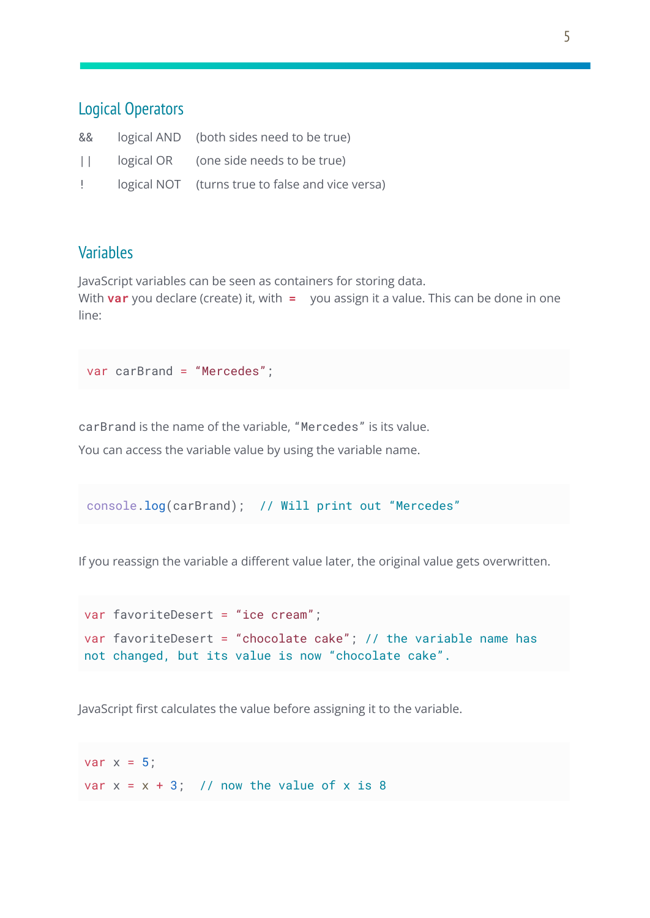## Logical Operators

| &&                 | logical AND (both sides need to be true)         |
|--------------------|--------------------------------------------------|
|                    | $  $ logical OR (one side needs to be true)      |
| de la construcción | logical NOT (turns true to false and vice versa) |

## **Variables**

JavaScript variables can be seen as containers for storing data.

With **var** you declare (create) it, with **=** you assign it a value. This can be done in one line:

```
var carBrand = "Mercedes";
```
carBrand is the name of the variable, "Mercedes" is its value.

You can access the variable value by using the variable name.

```
console.log(carBrand); // Will print out "Mercedes"
```
If you reassign the variable a different value later, the original value gets overwritten.

```
var favoriteDesert = "ice cream";
var favoriteDesert = "chocolate cake"; // the variable name has
not changed, but its value is now "chocolate cake".
```
JavaScript first calculates the value before assigning it to the variable.

var  $x = 5$ : var  $x = x + 3$ ; // now the value of x is 8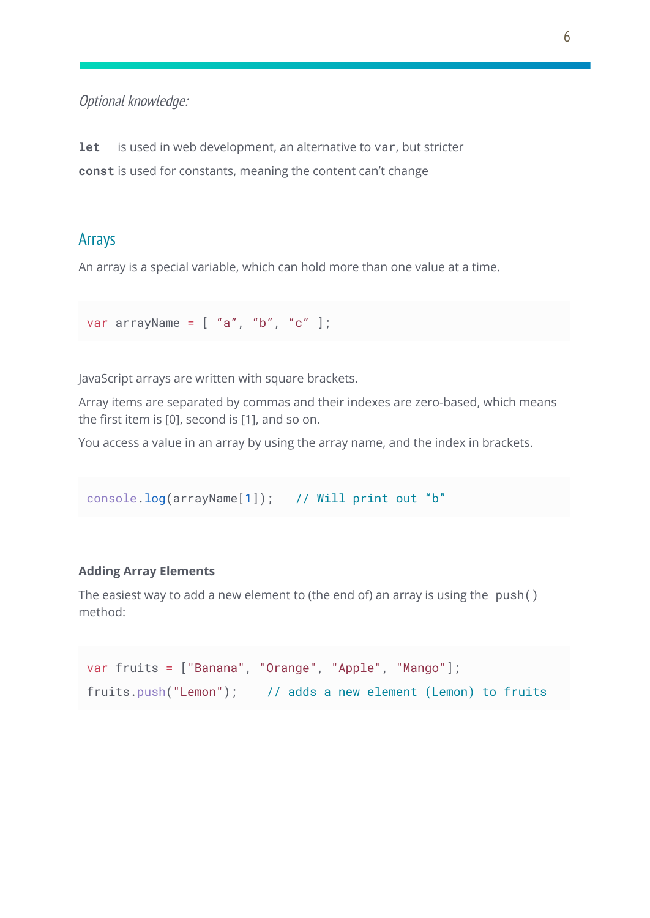#### Optional knowledge:

**let** is used in web development, an alternative to var, but stricter **const** is used for constants, meaning the content can't change

#### Arrays

An array is a special variable, which can hold more than one value at a time.

```
var arrayName = [ "a", "b", "c" ];
```
JavaScript arrays are written with square brackets.

Array items are separated by commas and their indexes are zero-based, which means the first item is [0], second is [1], and so on.

You access a value in an array by using the array name, and the index in brackets.

```
console.log(arrayName[1]); // Will print out "b"
```
#### **Adding Array Elements**

The easiest way to add a new element to (the end of) an array is using the push() method:

```
var fruits = ["Banana", "Orange", "Apple", "Mango"];
fruits.push("Lemon"); // adds a new element (Lemon) to fruits
```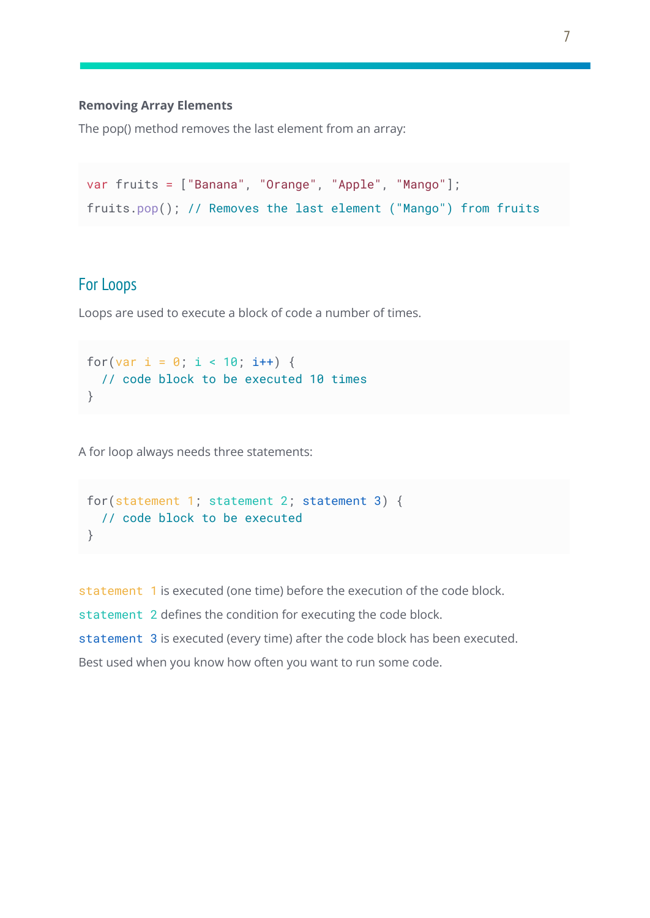#### **Removing Array Elements**

The pop() method removes the last element from an array:

```
var fruits = ["Banana", "Orange", "Apple", "Mango"];
fruits.pop(); // Removes the last element ("Mango") from fruits
```
## For Loops

Loops are used to execute a block of code a number of times.

```
for(var i = 0; i < 10; i++) {
 // code block to be executed 10 times
}
```
A for loop always needs three statements:

```
for(statement 1; statement 2; statement 3) {
 // code block to be executed
}
```
statement 1 is executed (one time) before the execution of the code block. statement 2 defines the condition for executing the code block. statement 3 is executed (every time) after the code block has been executed. Best used when you know how often you want to run some code.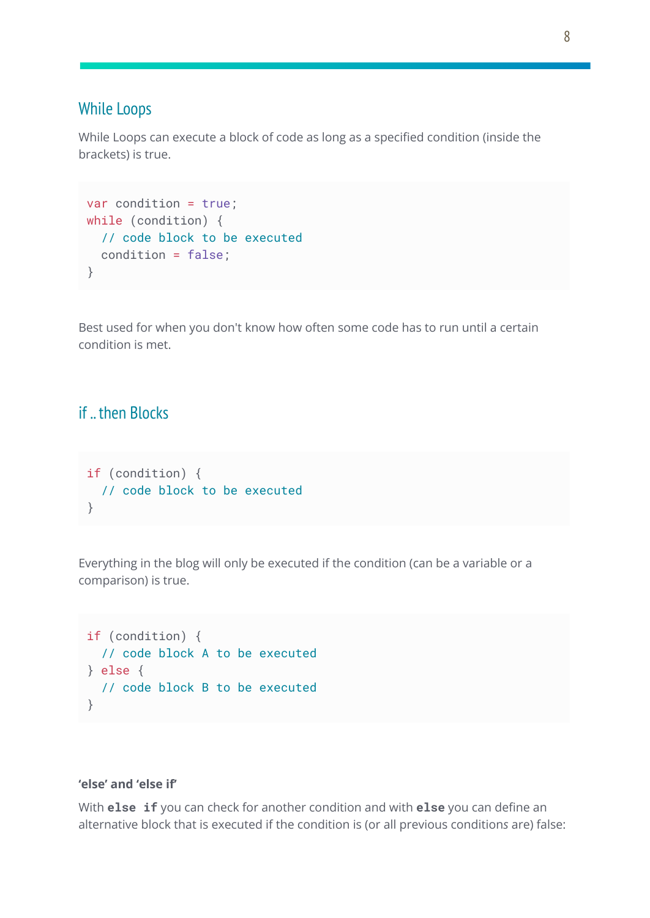#### While Loops

While Loops can execute a block of code as long as a specified condition (inside the brackets) is true.

```
var condition = true;
while (condition) {
 // code block to be executed
 condition = false;
}
```
Best used for when you don't know how often some code has to run until a certain condition is met.

## if .. then Blocks

```
if (condition) {
 // code block to be executed
}
```
Everything in the blog will only be executed if the condition (can be a variable or a comparison) is true.

```
if (condition) {
 // code block A to be executed
} else {
 // code block B to be executed
}
```
#### **'else' and 'else if'**

With **else if** you can check for another condition and with **else** you can define an alternative block that is executed if the condition is (or all previous condition*s* are) false: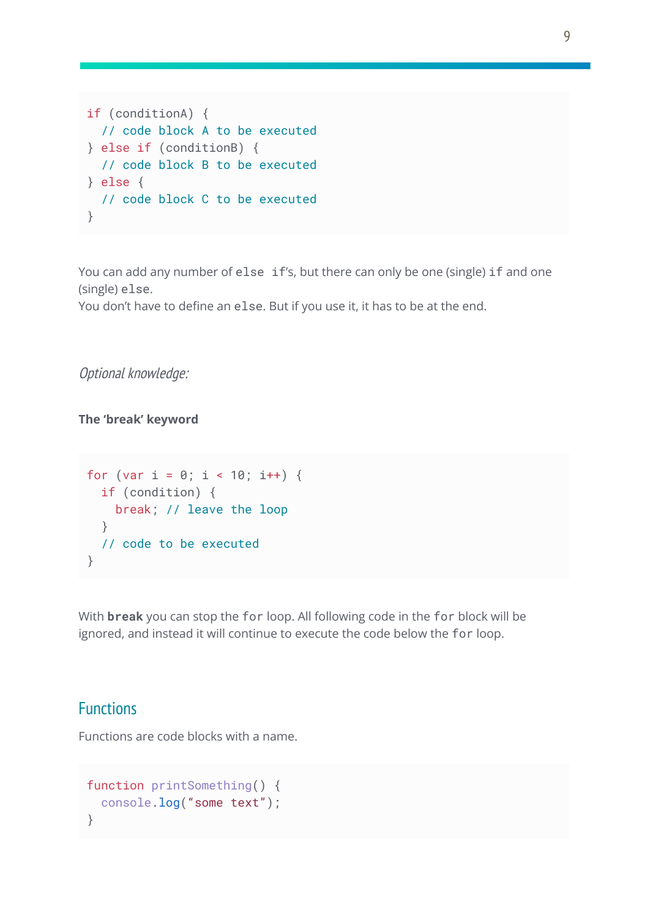```
if (conditionA) {
 // code block A to be executed
} else if (conditionB) {
 // code block B to be executed
} else {
 // code block C to be executed
}
```
You can add any number of else if's, but there can only be one (single) if and one (single) else.

You don't have to define an else. But if you use it, it has to be at the end.

Optional knowledge:

**The 'break' keyword**

```
for (var i = 0; i < 10; i++) {
 if (condition) {
   break; // leave the loop
  }
 // code to be executed
}
```
With **break** you can stop the for loop. All following code in the for block will be ignored, and instead it will continue to execute the code below the for loop.

#### **Functions**

Functions are code blocks with a name.

```
function printSomething() {
 console.log("some text");
}
```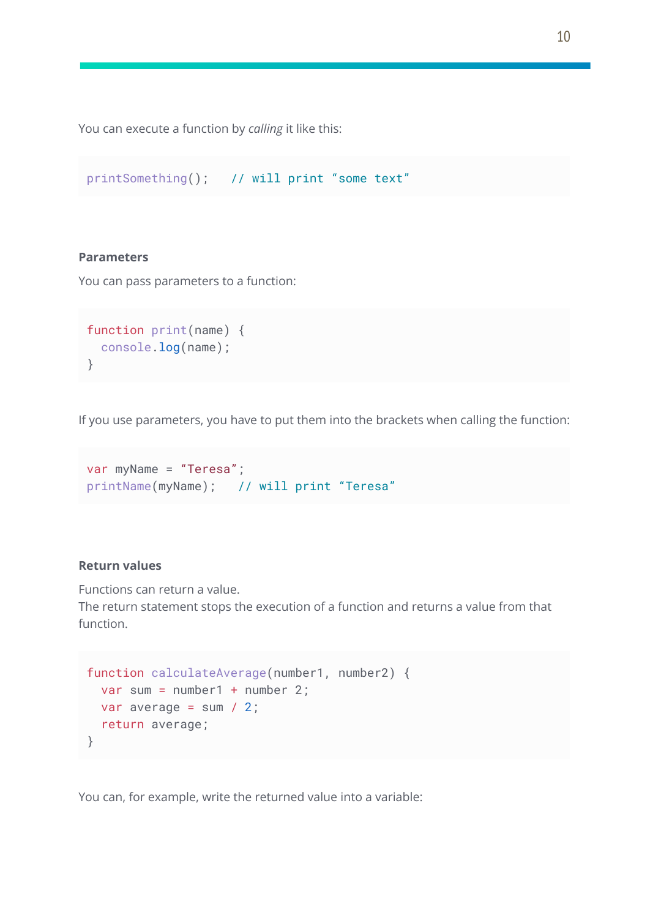You can execute a function by *calling* it like this:

```
printSomething(); // will print "some text"
```
#### **Parameters**

You can pass parameters to a function:

```
function print(name) {
console.log(name);
}
```
If you use parameters, you have to put them into the brackets when calling the function:

```
var myName = "Teresa";
printName(myName); // will print "Teresa"
```
#### **Return values**

Functions can return a value.

The return statement stops the execution of a function and returns a value from that function.

```
function calculateAverage(number1, number2) {
 var sum = number1 + number 2;
 var average = sum / 2:
 return average;
}
```
You can, for example, write the returned value into a variable: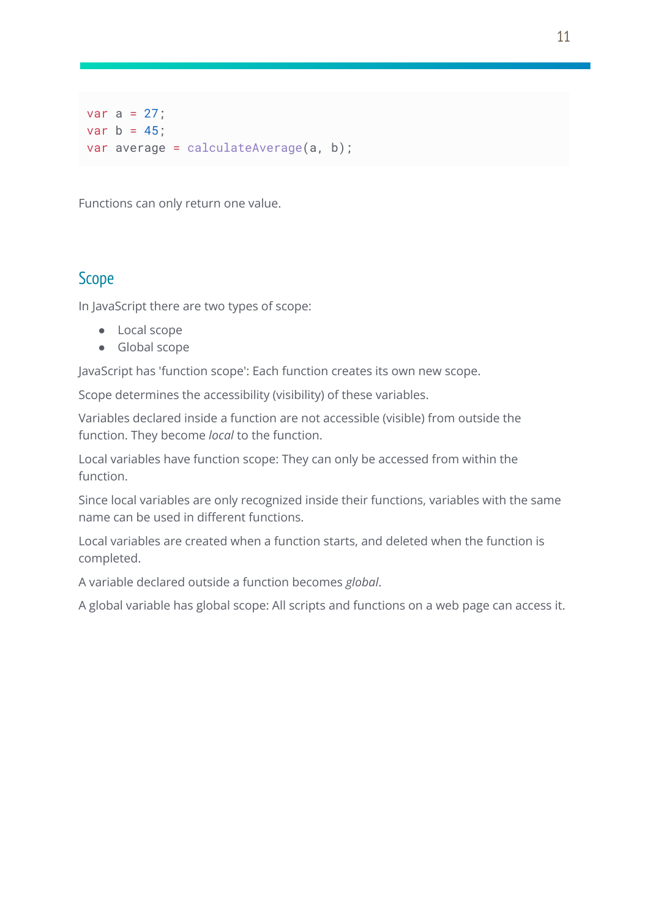var a =  $27$ ; var  $b = 45$ ; var average = calculateAverage(a, b);

Functions can only return one value.

## Scope

In JavaScript there are two types of scope:

- Local scope
- Global scope

JavaScript has 'function scope': Each function creates its own new scope.

Scope determines the accessibility (visibility) of these variables.

Variables declared inside a function are not accessible (visible) from outside the function. They become *local* to the function.

Local variables have function scope: They can only be accessed from within the function.

Since local variables are only recognized inside their functions, variables with the same name can be used in different functions.

Local variables are created when a function starts, and deleted when the function is completed.

A variable declared outside a function becomes *global*.

A global variable has global scope: All scripts and functions on a web page can access it.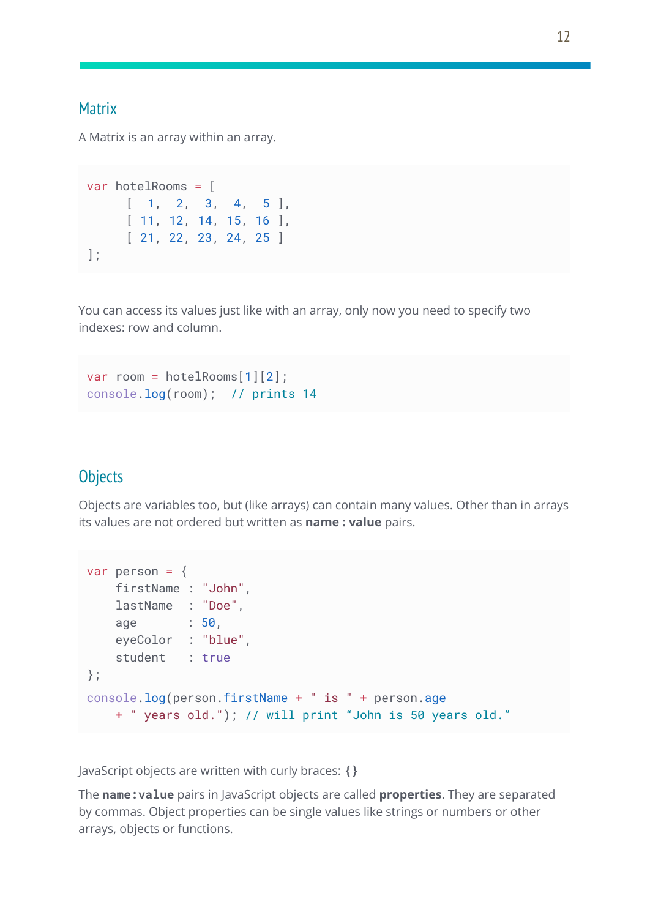#### **Matrix**

A Matrix is an array within an array.

```
var hotelRooms = [
     [1, 2, 3, 4, 5][ 11, 12, 14, 15, 16 ],
     [ 21, 22, 23, 24, 25 ]
];
```
You can access its values just like with an array, only now you need to specify two indexes: row and column.

```
var room = hotelRooms[1][2];
console.log(room); // prints 14
```
## **Objects**

Objects are variables too, but (like arrays) can contain many values. Other than in arrays its values are not ordered but written as **name : value** pairs.

```
var person = \{firstName : "John",
   lastName : "Doe",
   age : 50,
   eyeColor : "blue",
   student : true
};
console.log(person.firstName + " is " + person.age
   + " years old."); // will print "John is 50 years old."
```
JavaScript objects are written with curly braces: **{}**

The **name:value** pairs in JavaScript objects are called **properties**. They are separated by commas. Object properties can be single values like strings or numbers or other arrays, objects or functions.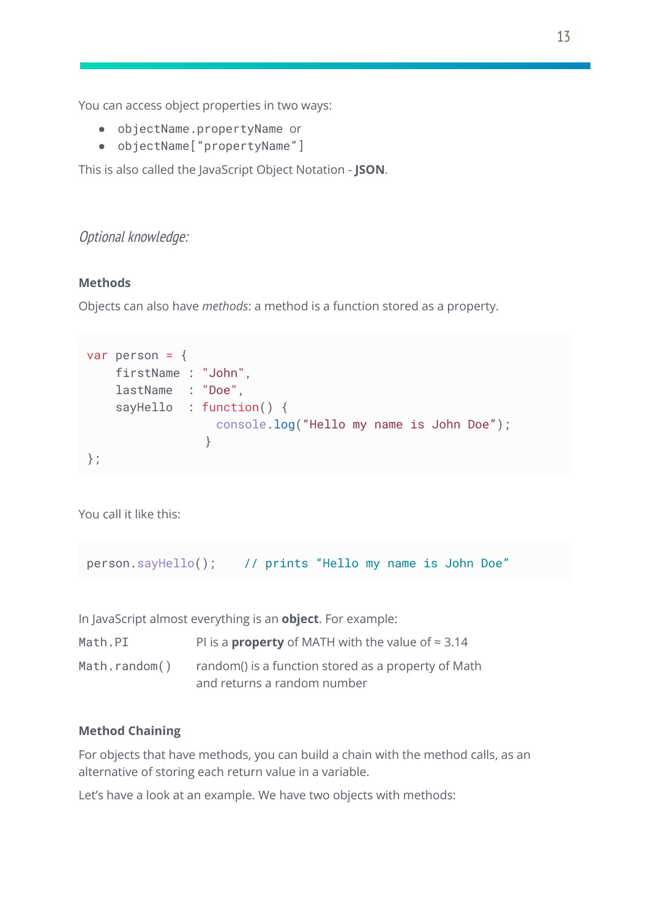You can access object properties in two ways:

- objectName.propertyName or
- objectName["propertyName"]

This is also called the JavaScript Object Notation - **JSON**.

#### Optional knowledge:

#### **Methods**

Objects can also have *methods*: a method is a function stored as a property.

```
var person = \{firstName : "John",
    lastName : "Doe",
    sayHello : function() {
                  console.log("Hello my name is John Doe");
                }
};
```
You call it like this:

```
person.sayHello(); // prints "Hello my name is John Doe"
```
In JavaScript almost everything is an **object**. For example:

| Math.PI       | PI is a <b>property</b> of MATH with the value of $\approx 3.14$ |
|---------------|------------------------------------------------------------------|
| Math.random() | random() is a function stored as a property of Math              |
|               | and returns a random number                                      |

#### **Method Chaining**

For objects that have methods, you can build a chain with the method calls, as an alternative of storing each return value in a variable.

Let's have a look at an example. We have two objects with methods: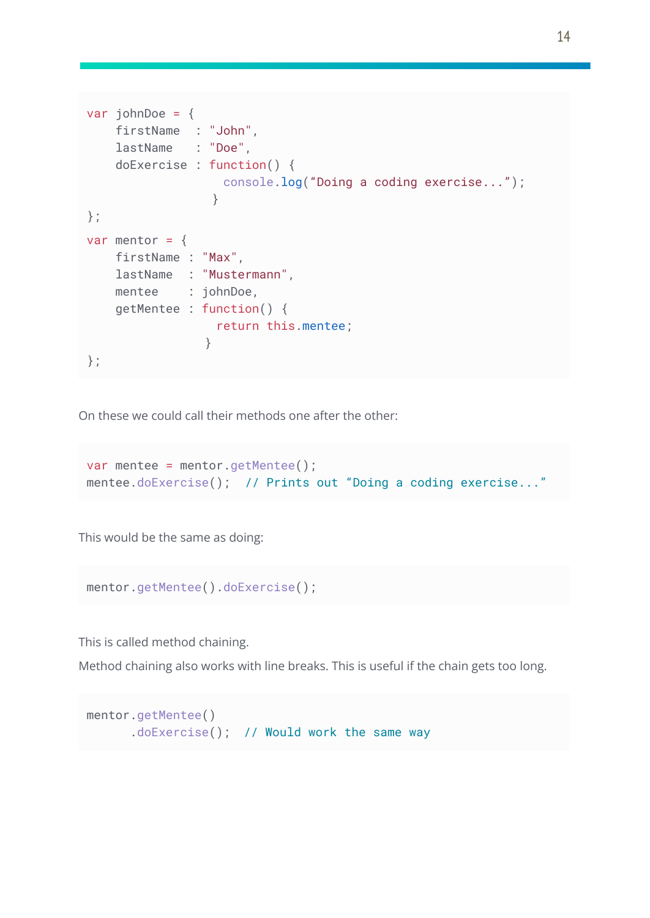```
var johnDoe = {
   firstName : "John",
    lastName : "Doe",
    doExercise : function() {
                  console.log("Doing a coding exercise...");
                 }
};
var mentor = \{firstName : "Max",
    lastName : "Mustermann",
    mentee : johnDoe,
    getMentee : function() {
                 return this.mentee;
                }
};
```
On these we could call their methods one after the other:

```
var mentee = mentor.getMentee();
mentee.doExercise(); // Prints out "Doing a coding exercise..."
```
This would be the same as doing:

```
mentor.getMentee().doExercise();
```
This is called method chaining.

Method chaining also works with line breaks. This is useful if the chain gets too long.

```
mentor.getMentee()
     .doExercise(); // Would work the same way
```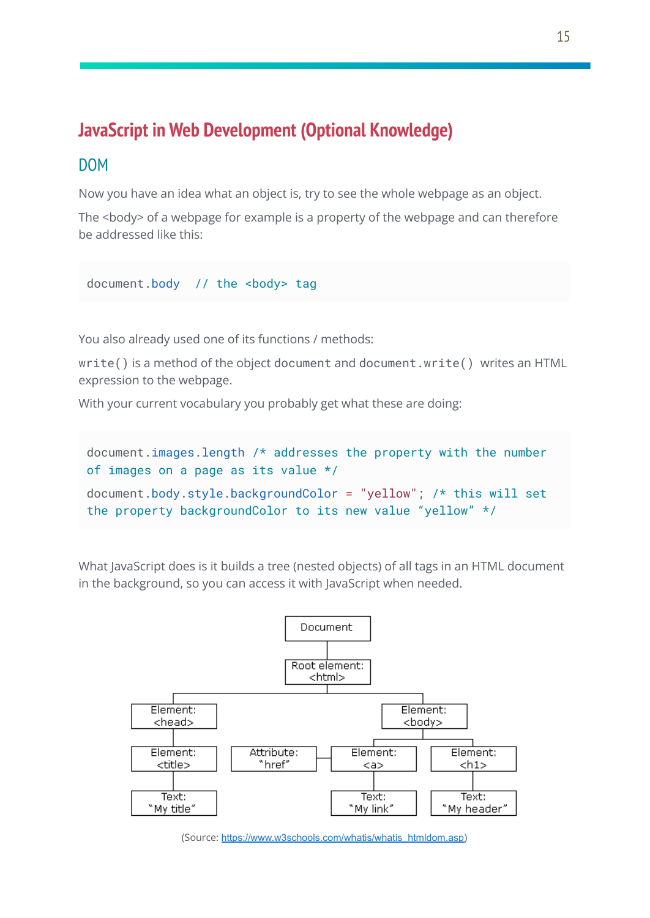# **JavaScript in Web Development (Optional Knowledge)**

#### DOM

Now you have an idea what an object is, try to see the whole webpage as an object.

The <body> of a webpage for example is a property of the webpage and can therefore be addressed like this:

document.body // the <br/>body> tag

You also already used one of its functions / methods:

write() is a method of the object document and document.write() writes an HTML expression to the webpage.

With your current vocabulary you probably get what these are doing:

```
document.images.length /* addresses the property with the number
of images on a page as its value */
document.body.style.backgroundColor = "yellow"; /* this will set
the property backgroundColor to its new value "yellow" */
```
What JavaScript does is it builds a tree (nested objects) of all tags in an HTML document in the background, so you can access it with JavaScript when needed.



(Source: [https://www.w3schools.com/whatis/whatis\\_htmldom.asp\)](https://www.w3schools.com/whatis/whatis_htmldom.asp)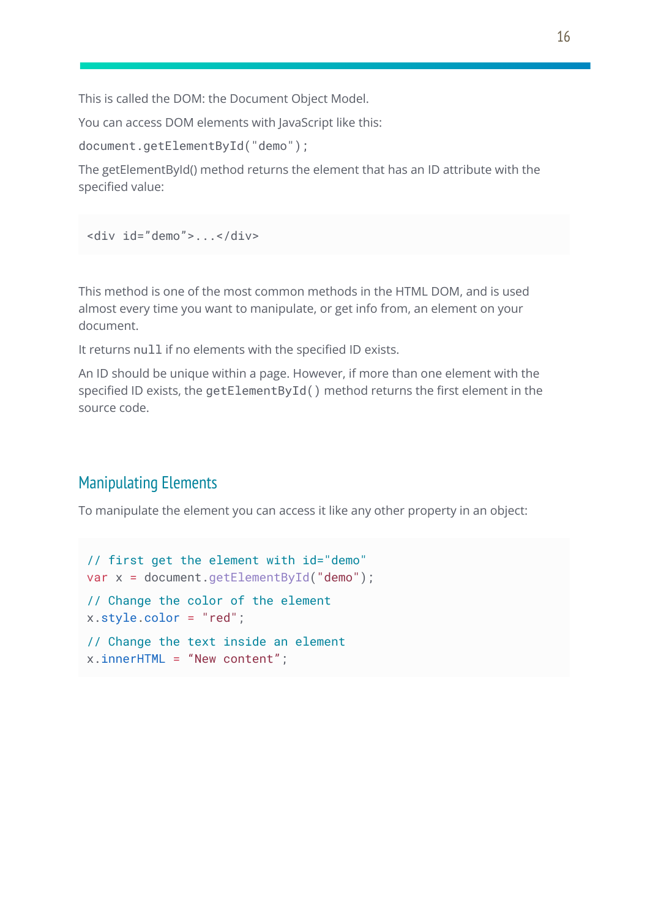This is called the DOM: the Document Object Model.

You can access DOM elements with JavaScript like this:

document.getElementById("demo");

The getElementById() method returns the element that has an ID attribute with the specified value:

```
<div id="demo">...</div>
```
This method is one of the most common methods in the HTML DOM, and is used almost every time you want to manipulate, or get info from, an element on your document.

It returns null if no elements with the specified ID exists.

An ID should be unique within a page. However, if more than one element with the specified ID exists, the getElementById() method returns the first element in the source code.

## Manipulating Elements

To manipulate the element you can access it like any other property in an object:

```
// first get the element with id="demo"
var x = document.getElementById("demo");
// Change the color of the element
x.style.color = "red";
// Change the text inside an element
x.innerHTML = "New content";
```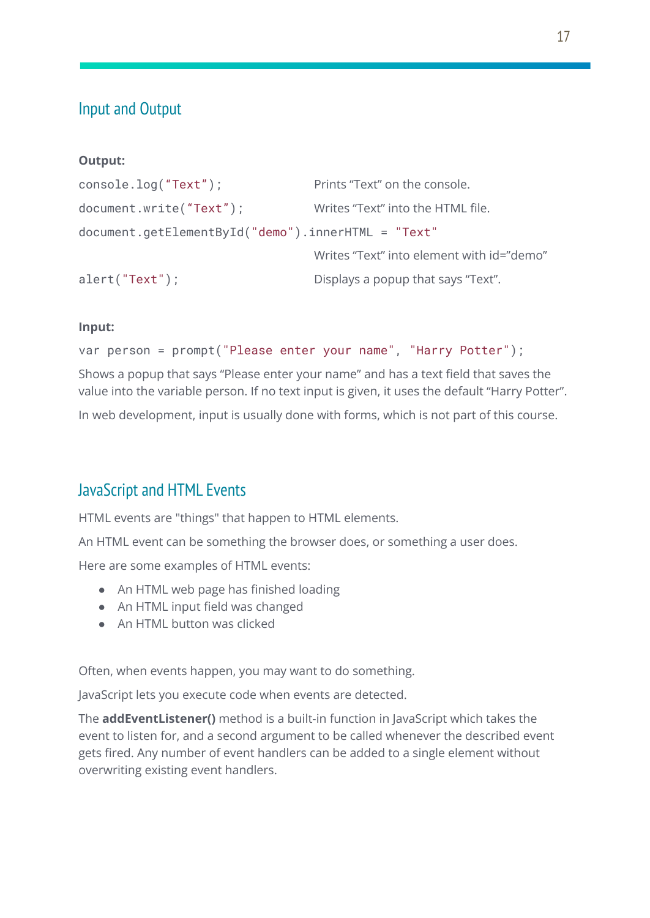# Input and Output

#### **Output:**

```
console.log("Text"); Prints "Text" on the console.
document.write("Text"); Writes "Text" into the HTML file.
document.getElementById("demo").innerHTML = "Text"
                                Writes "Text" into element with id="demo"
alert("Text"); Displays a popup that says "Text".
```
#### **Input:**

```
var person = prompt("Please enter your name", "Harry Potter");
```
Shows a popup that says "Please enter your name" and has a text field that saves the value into the variable person. If no text input is given, it uses the default "Harry Potter".

In web development, input is usually done with forms, which is not part of this course.

## JavaScript and HTML Events

HTML events are "things" that happen to HTML elements.

An HTML event can be something the browser does, or something a user does.

Here are some examples of HTML events:

- An HTML web page has finished loading
- An HTML input field was changed
- An HTML button was clicked

Often, when events happen, you may want to do something.

JavaScript lets you execute code when events are detected.

The **addEventListener()** method is a built-in function in JavaScript which takes the event to listen for, and a second argument to be called whenever the described event gets fired. Any number of event handlers can be added to a single element without overwriting existing event handlers.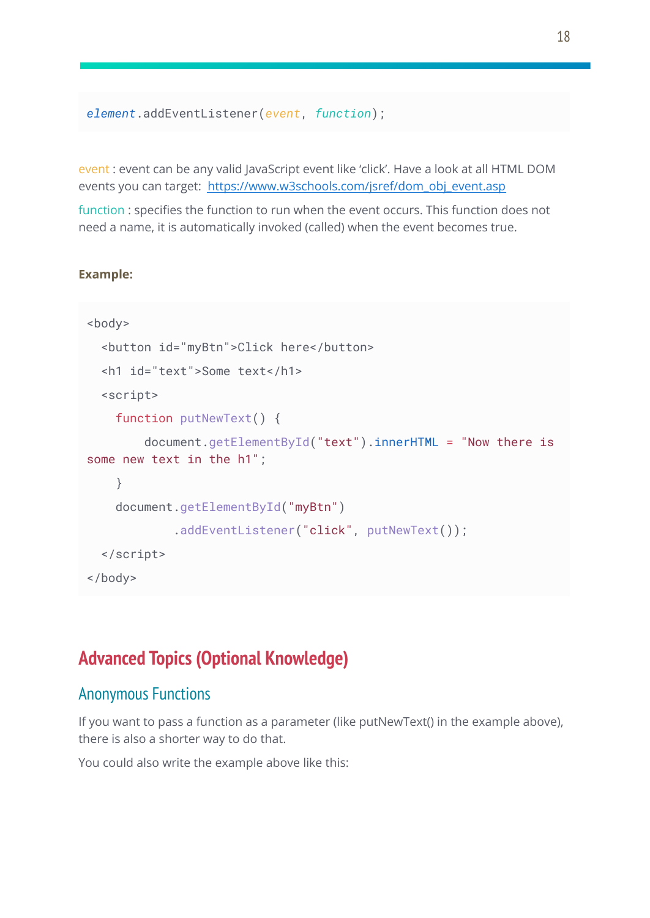```
element.addEventListener(event, function);
```
event : event can be any valid JavaScript event like 'click'. Have a look at all HTML DOM events you can target: [https://www.w3schools.com/jsref/dom\\_obj\\_event.asp](https://www.w3schools.com/jsref/dom_obj_event.asp)

function : specifies the function to run when the event occurs. This function does not need a name, it is automatically invoked (called) when the event becomes true.

#### **Example:**

```
<body>
 <button id="myBtn">Click here</button>
 <h1 id="text">Some text</h1>
 <script>
   function putNewText() {
        document.getElementById("text").innerHTML = "Now there is
some new text in the h1";
    }
   document.getElementById("myBtn")
            .addEventListener("click", putNewText());
 </script>
</body>
```
# **Advanced Topics (Optional Knowledge)**

#### Anonymous Functions

If you want to pass a function as a parameter (like putNewText() in the example above), there is also a shorter way to do that.

You could also write the example above like this: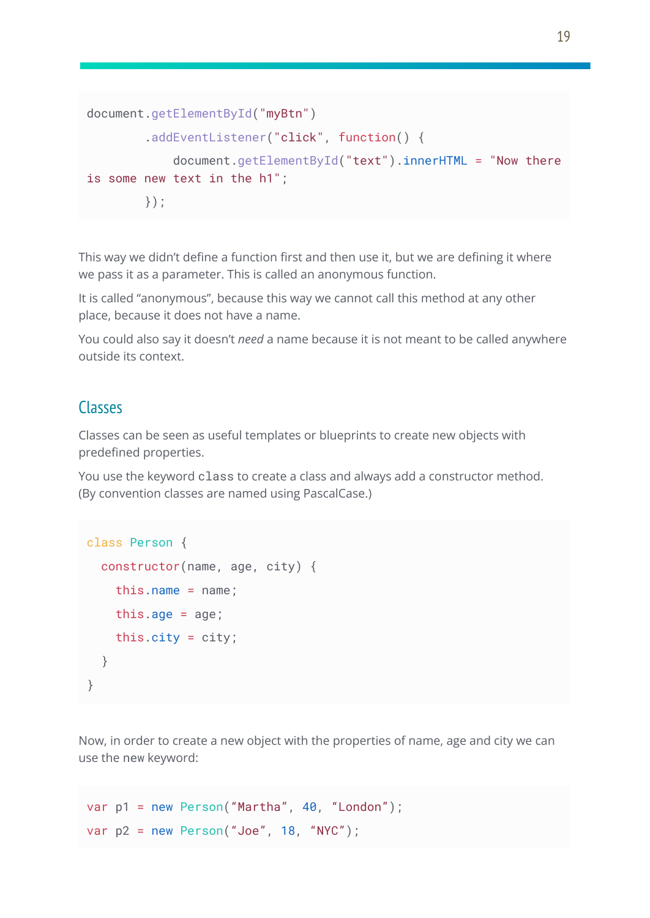```
document.getElementById("myBtn")
        .addEventListener("click", function() {
            document.getElementById("text").innerHTML = "Now there
is some new text in the h1";
        });
```
This way we didn't define a function first and then use it, but we are defining it where we pass it as a parameter. This is called an anonymous function.

It is called "anonymous", because this way we cannot call this method at any other place, because it does not have a name.

You could also say it doesn't *need* a name because it is not meant to be called anywhere outside its context.

#### Classes

Classes can be seen as useful templates or blueprints to create new objects with predefined properties.

You use the keyword class to create a class and always add a constructor method. (By convention classes are named using PascalCase.)

```
class Person {
  constructor(name, age, city) {
   this.name = name;
   this.age = age;
   this.city = city;
  }
}
```
Now, in order to create a new object with the properties of name, age and city we can use the new keyword:

```
var p1 = new Person("Martha", 40, "London");
var p2 = new Person("Joe", 18, "NYC");
```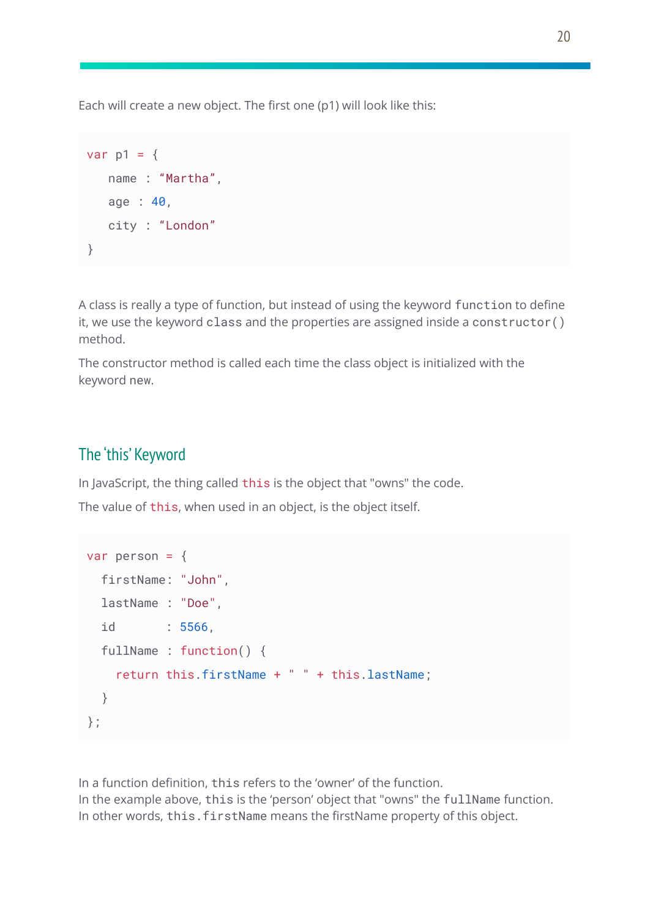Each will create a new object. The first one (p1) will look like this:

```
var p1 = \{name : "Martha",
   age : 40,
   city : "London"
}
```
A class is really a type of function, but instead of using the keyword function to define it, we use the keyword class and the properties are assigned inside a constructor() method.

The constructor method is called each time the class object is initialized with the keyword new.

## The 'this' Keyword

In JavaScript, the thing called this is the object that "owns" the code.

The value of this, when used in an object, is the object itself.

```
var person = \{firstName: "John",
 lastName : "Doe",
 id : 5566,
 fullName : function() {
   return this.firstName + " " + this.lastName;
  }
};
```
In a function definition, this refers to the 'owner' of the function. In the example above, this is the 'person' object that "owns" the fullName function. In other words, this.firstName means the firstName property of this object.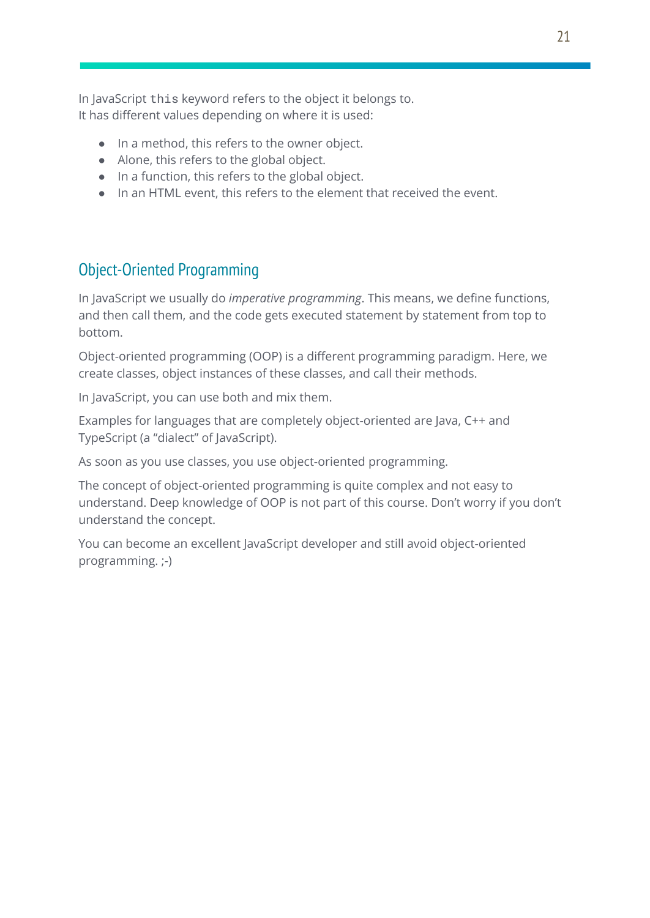In JavaScript this keyword refers to the object it belongs to. It has different values depending on where it is used:

- In a method, this refers to the owner object.
- Alone, this refers to the global object.
- In a function, this refers to the global object.
- In an HTML event, this refers to the element that received the event.

## Object-Oriented Programming

In JavaScript we usually do *imperative programming*. This means, we define functions, and then call them, and the code gets executed statement by statement from top to bottom.

Object-oriented programming (OOP) is a different programming paradigm. Here, we create classes, object instances of these classes, and call their methods.

In JavaScript, you can use both and mix them.

Examples for languages that are completely object-oriented are Java, C++ and TypeScript (a "dialect" of JavaScript).

As soon as you use classes, you use object-oriented programming.

The concept of object-oriented programming is quite complex and not easy to understand. Deep knowledge of OOP is not part of this course. Don't worry if you don't understand the concept.

You can become an excellent JavaScript developer and still avoid object-oriented programming. ;-)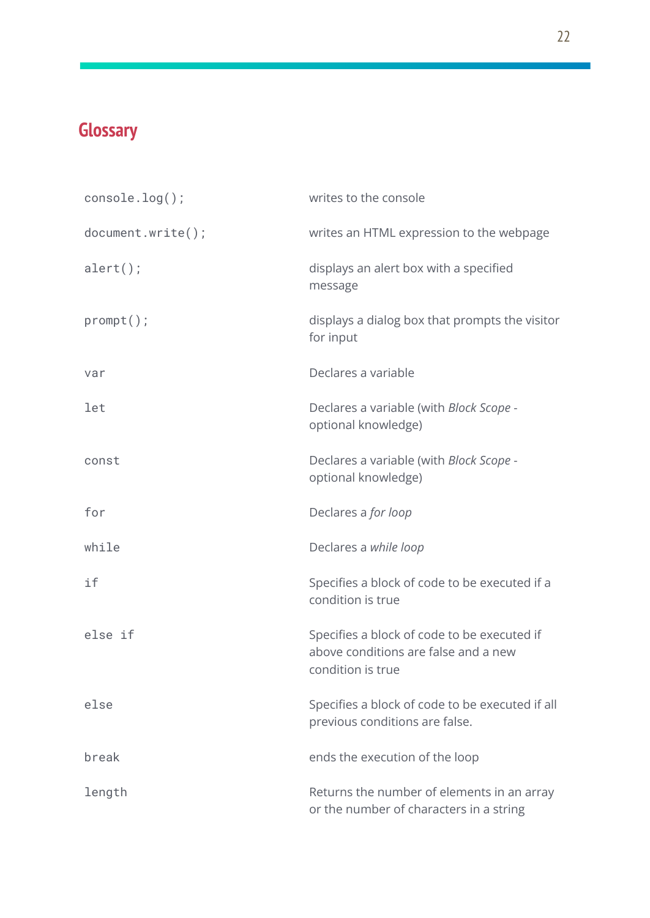# **Glossary**

| $console.log()$ ;    | writes to the console                                                                                    |
|----------------------|----------------------------------------------------------------------------------------------------------|
| $document.write()$ ; | writes an HTML expression to the webpage                                                                 |
| $alert()$ ;          | displays an alert box with a specified<br>message                                                        |
| $prompt()$ ;         | displays a dialog box that prompts the visitor<br>for input                                              |
| var                  | Declares a variable                                                                                      |
| let                  | Declares a variable (with Block Scope -<br>optional knowledge)                                           |
| const                | Declares a variable (with Block Scope -<br>optional knowledge)                                           |
| for                  | Declares a for loop                                                                                      |
| while                | Declares a while loop                                                                                    |
| if                   | Specifies a block of code to be executed if a<br>condition is true                                       |
| else if              | Specifies a block of code to be executed if<br>above conditions are false and a new<br>condition is true |
| else                 | Specifies a block of code to be executed if all<br>previous conditions are false.                        |
| break                | ends the execution of the loop                                                                           |
| length               | Returns the number of elements in an array<br>or the number of characters in a string                    |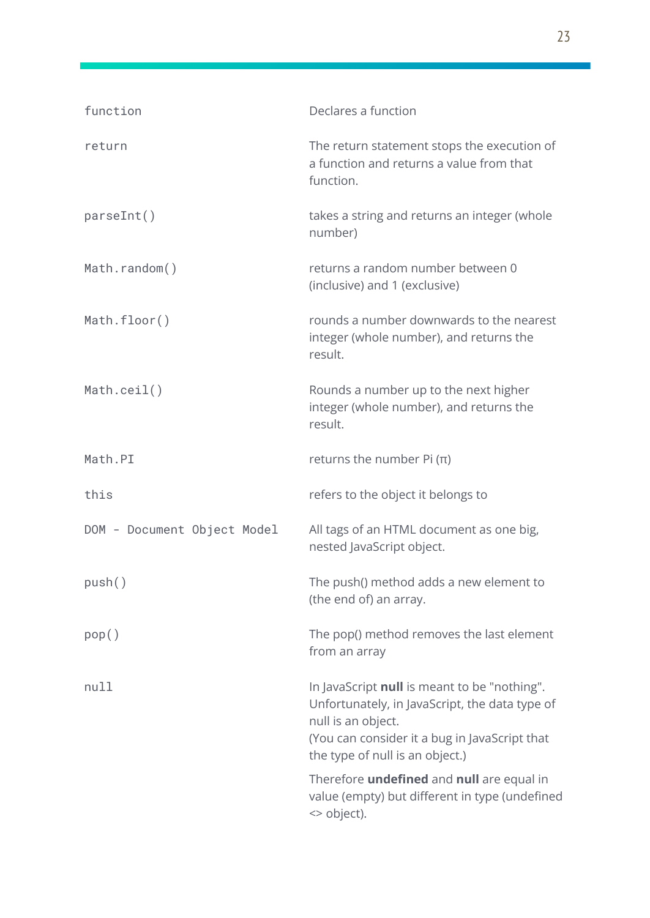| function                    | Declares a function                                                                                                                                                                                      |
|-----------------------------|----------------------------------------------------------------------------------------------------------------------------------------------------------------------------------------------------------|
| return                      | The return statement stops the execution of<br>a function and returns a value from that<br>function.                                                                                                     |
| parseInt()                  | takes a string and returns an integer (whole<br>number)                                                                                                                                                  |
| Math.random()               | returns a random number between 0<br>(inclusive) and 1 (exclusive)                                                                                                                                       |
| Math.floor()                | rounds a number downwards to the nearest<br>integer (whole number), and returns the<br>result.                                                                                                           |
| Math.ceil()                 | Rounds a number up to the next higher<br>integer (whole number), and returns the<br>result.                                                                                                              |
| Math.PI                     | returns the number Pi $(\pi)$                                                                                                                                                                            |
| this                        | refers to the object it belongs to                                                                                                                                                                       |
| DOM - Document Object Model | All tags of an HTML document as one big,<br>nested JavaScript object.                                                                                                                                    |
| push()                      | The push() method adds a new element to<br>(the end of) an array.                                                                                                                                        |
| pop()                       | The pop() method removes the last element<br>from an array                                                                                                                                               |
| null                        | In JavaScript null is meant to be "nothing".<br>Unfortunately, in JavaScript, the data type of<br>null is an object.<br>(You can consider it a bug in JavaScript that<br>the type of null is an object.) |
|                             | Therefore <i>undefined</i> and <i>null</i> are equal in<br>value (empty) but different in type (undefined<br><> object).                                                                                 |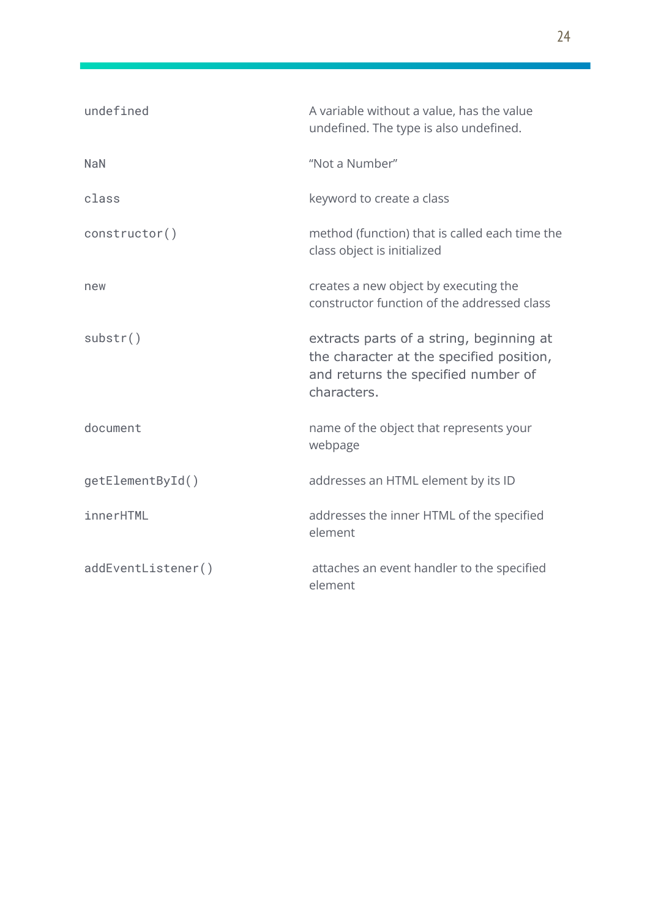| undefined          | A variable without a value, has the value<br>undefined. The type is also undefined.                                                        |
|--------------------|--------------------------------------------------------------------------------------------------------------------------------------------|
| <b>NaN</b>         | "Not a Number"                                                                                                                             |
| class              | keyword to create a class                                                                                                                  |
| construction()     | method (function) that is called each time the<br>class object is initialized                                                              |
| new                | creates a new object by executing the<br>constructor function of the addressed class                                                       |
| substr()           | extracts parts of a string, beginning at<br>the character at the specified position,<br>and returns the specified number of<br>characters. |
| document           | name of the object that represents your<br>webpage                                                                                         |
| getElementById()   | addresses an HTML element by its ID                                                                                                        |
| innerHTML          | addresses the inner HTML of the specified<br>element                                                                                       |
| addEventListener() | attaches an event handler to the specified<br>element                                                                                      |